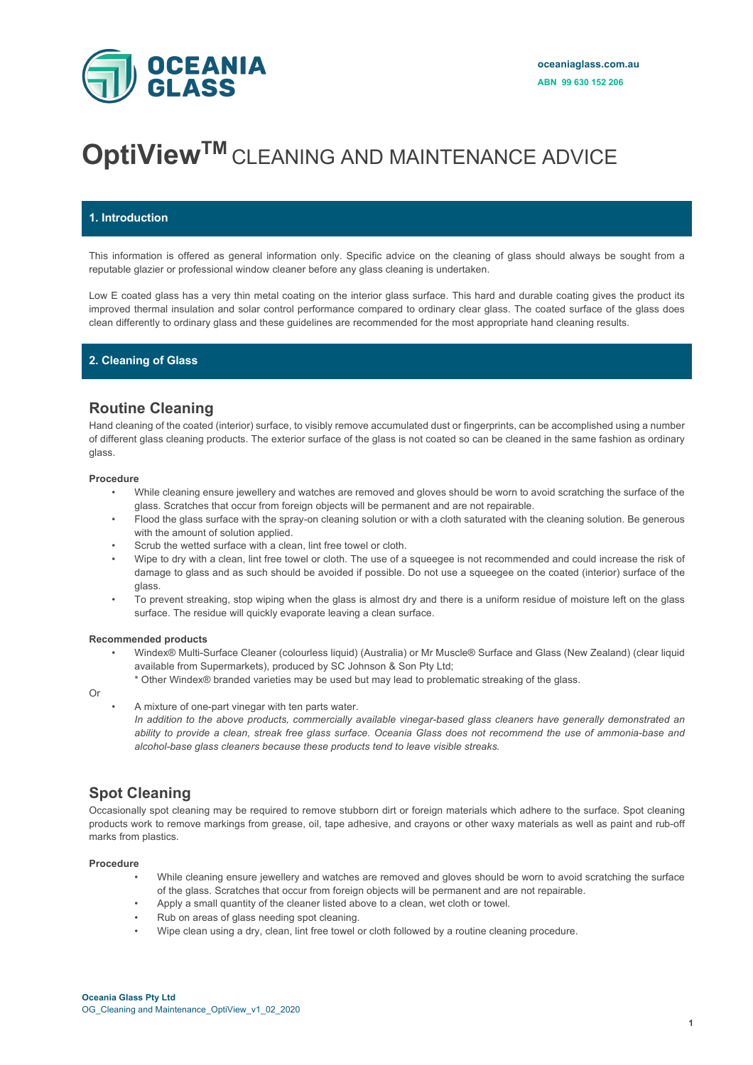

# **OptiView<sup>TM</sup>** CLEANING AND MAINTENANCE ADVICE

### **1. Introduction**

This information is offered as general information only. Specific advice on the cleaning of glass should always be sought from a reputable glazier or professional window cleaner before any glass cleaning is undertaken.

Low E coated glass has a very thin metal coating on the interior glass surface. This hard and durable coating gives the product its improved thermal insulation and solar control performance compared to ordinary clear glass. The coated surface of the glass does clean differently to ordinary glass and these guidelines are recommended for the most appropriate hand cleaning results.

### **2. Cleaning of Glass**

## **Routine Cleaning**

Hand cleaning of the coated (interior) surface, to visibly remove accumulated dust or fingerprints, can be accomplished using a number of different glass cleaning products. The exterior surface of the glass is not coated so can be cleaned in the same fashion as ordinary glass.

#### **Procedure**

- While cleaning ensure jewellery and watches are removed and gloves should be worn to avoid scratching the surface of the glass. Scratches that occur from foreign objects will be permanent and are not repairable.
- Flood the glass surface with the spray-on cleaning solution or with a cloth saturated with the cleaning solution. Be generous with the amount of solution applied.
- Scrub the wetted surface with a clean, lint free towel or cloth.
- Wipe to dry with a clean, lint free towel or cloth. The use of a squeegee is not recommended and could increase the risk of damage to glass and as such should be avoided if possible. Do not use a squeegee on the coated (interior) surface of the glass.
- To prevent streaking, stop wiping when the glass is almost dry and there is a uniform residue of moisture left on the glass surface. The residue will quickly evaporate leaving a clean surface.

#### **Recommended products**

- Windex® Multi-Surface Cleaner (colourless liquid) (Australia) or Mr Muscle® Surface and Glass (New Zealand) (clear liquid available from Supermarkets), produced by SC Johnson & Son Pty Ltd;
	- \* Other Windex® branded varieties may be used but may lead to problematic streaking of the glass.

### Or

• A mixture of one-part vinegar with ten parts water.

*In addition to the above products, commercially available vinegar-based glass cleaners have generally demonstrated an ability to provide a clean, streak free glass surface. Oceania Glass does not recommend the use of ammonia-base and alcohol-base glass cleaners because these products tend to leave visible streaks.*

# **Spot Cleaning**

Occasionally spot cleaning may be required to remove stubborn dirt or foreign materials which adhere to the surface. Spot cleaning products work to remove markings from grease, oil, tape adhesive, and crayons or other waxy materials as well as paint and rub-off marks from plastics.

#### **Procedure**

- While cleaning ensure jewellery and watches are removed and gloves should be worn to avoid scratching the surface of the glass. Scratches that occur from foreign objects will be permanent and are not repairable.
- Apply a small quantity of the cleaner listed above to a clean, wet cloth or towel.
- Rub on areas of glass needing spot cleaning.
- Wipe clean using a dry, clean, lint free towel or cloth followed by a routine cleaning procedure.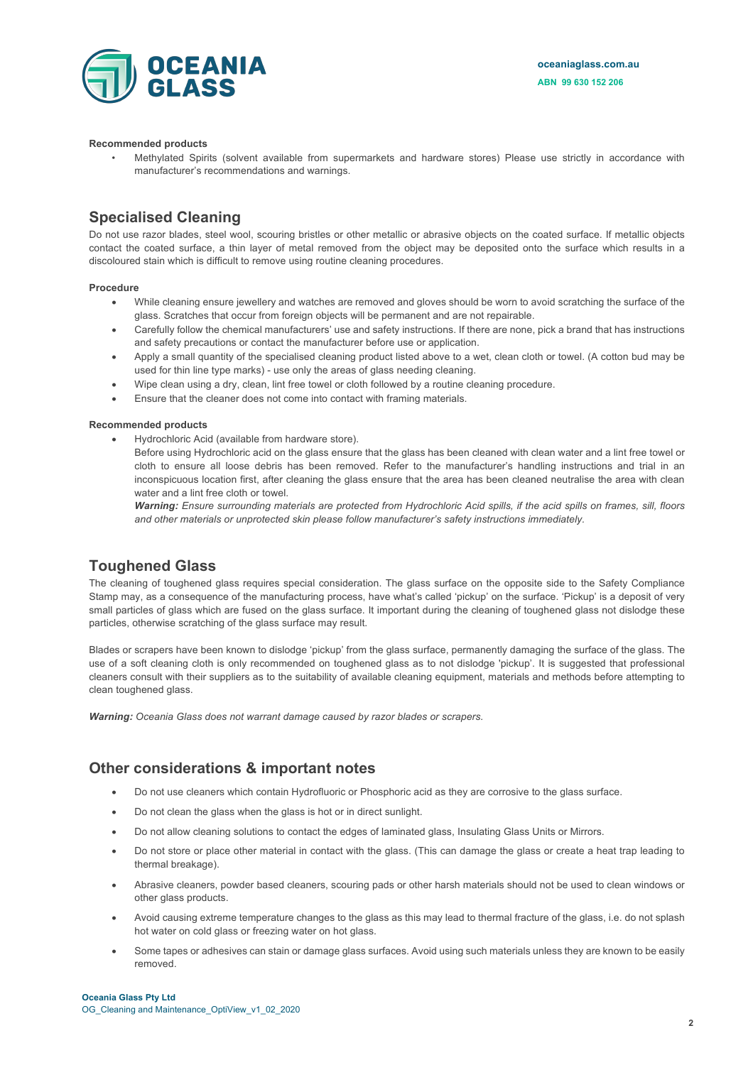



#### **Recommended products**

• Methylated Spirits (solvent available from supermarkets and hardware stores) Please use strictly in accordance with manufacturer's recommendations and warnings.

### **Specialised Cleaning**

Do not use razor blades, steel wool, scouring bristles or other metallic or abrasive objects on the coated surface. If metallic objects contact the coated surface, a thin layer of metal removed from the object may be deposited onto the surface which results in a discoloured stain which is difficult to remove using routine cleaning procedures.

#### **Procedure**

- While cleaning ensure jewellery and watches are removed and gloves should be worn to avoid scratching the surface of the glass. Scratches that occur from foreign objects will be permanent and are not repairable.
- Carefully follow the chemical manufacturers' use and safety instructions. If there are none, pick a brand that has instructions and safety precautions or contact the manufacturer before use or application.
- Apply a small quantity of the specialised cleaning product listed above to a wet, clean cloth or towel. (A cotton bud may be used for thin line type marks) - use only the areas of glass needing cleaning.
- Wipe clean using a dry, clean, lint free towel or cloth followed by a routine cleaning procedure.
- Ensure that the cleaner does not come into contact with framing materials.

#### **Recommended products**

• Hydrochloric Acid (available from hardware store).

Before using Hydrochloric acid on the glass ensure that the glass has been cleaned with clean water and a lint free towel or cloth to ensure all loose debris has been removed. Refer to the manufacturer's handling instructions and trial in an inconspicuous location first, after cleaning the glass ensure that the area has been cleaned neutralise the area with clean water and a lint free cloth or towel.

*Warning: Ensure surrounding materials are protected from Hydrochloric Acid spills, if the acid spills on frames, sill, floors and other materials or unprotected skin please follow manufacturer's safety instructions immediately.*

# **Toughened Glass**

The cleaning of toughened glass requires special consideration. The glass surface on the opposite side to the Safety Compliance Stamp may, as a consequence of the manufacturing process, have what's called 'pickup' on the surface. 'Pickup' is a deposit of very small particles of glass which are fused on the glass surface. It important during the cleaning of toughened glass not dislodge these particles, otherwise scratching of the glass surface may result.

Blades or scrapers have been known to dislodge 'pickup' from the glass surface, permanently damaging the surface of the glass. The use of a soft cleaning cloth is only recommended on toughened glass as to not dislodge 'pickup'. It is suggested that professional cleaners consult with their suppliers as to the suitability of available cleaning equipment, materials and methods before attempting to clean toughened glass.

*Warning: Oceania Glass does not warrant damage caused by razor blades or scrapers.*

### **Other considerations & important notes**

- Do not use cleaners which contain Hydrofluoric or Phosphoric acid as they are corrosive to the glass surface.
- Do not clean the glass when the glass is hot or in direct sunlight.
- Do not allow cleaning solutions to contact the edges of laminated glass, Insulating Glass Units or Mirrors.
- Do not store or place other material in contact with the glass. (This can damage the glass or create a heat trap leading to thermal breakage).
- Abrasive cleaners, powder based cleaners, scouring pads or other harsh materials should not be used to clean windows or other glass products.
- Avoid causing extreme temperature changes to the glass as this may lead to thermal fracture of the glass, i.e. do not splash hot water on cold glass or freezing water on hot glass.
- Some tapes or adhesives can stain or damage glass surfaces. Avoid using such materials unless they are known to be easily removed.